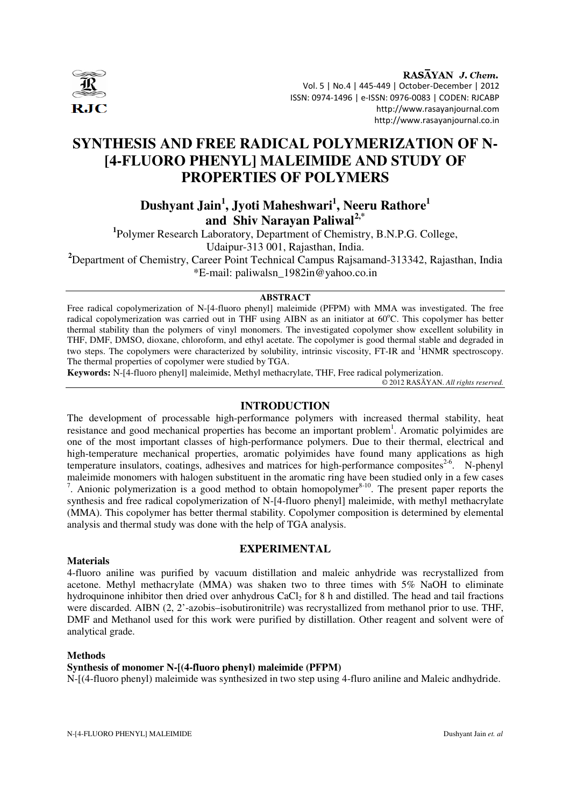

RASAYAN J. Chem. Vol. 5 | No.4 | 445-449 | October-December | 2012 ISSN: 0974-1496 | e-ISSN: 0976-0083 | CODEN: RJCABP http://www.rasayanjournal.com http://www.rasayanjournal.co.in

# **SYNTHESIS AND FREE RADICAL POLYMERIZATION OF N- [4-FLUORO PHENYL] MALEIMIDE AND STUDY OF PROPERTIES OF POLYMERS**

# **Dushyant Jain<sup>1</sup> , Jyoti Maheshwari<sup>1</sup> , Neeru Rathore<sup>1</sup> and Shiv Narayan Paliwal2,\***

<sup>1</sup>Polymer Research Laboratory, Department of Chemistry, B.N.P.G. College, Udaipur-313 001, Rajasthan, India. **<sup>2</sup>**Department of Chemistry, Career Point Technical Campus Rajsamand-313342, Rajasthan, India \*E-mail: paliwalsn\_1982in@yahoo.co.in

**ABSTRACT** 

Free radical copolymerization of N-[4-fluoro phenyl] maleimide (PFPM) with MMA was investigated. The free radical copolymerization was carried out in THF using AIBN as an initiator at 60°C. This copolymer has better thermal stability than the polymers of vinyl monomers. The investigated copolymer show excellent solubility in THF, DMF, DMSO, dioxane, chloroform, and ethyl acetate. The copolymer is good thermal stable and degraded in two steps. The copolymers were characterized by solubility, intrinsic viscosity, FT-IR and <sup>1</sup>HNMR spectroscopy. The thermal properties of copolymer were studied by TGA.

**Keywords:** N-[4-fluoro phenyl] maleimide, Methyl methacrylate, THF, Free radical polymerization.

© 2012 RASĀYAN. *All rights reserved.*

## **INTRODUCTION**

The development of processable high-performance polymers with increased thermal stability, heat resistance and good mechanical properties has become an important problem<sup>1</sup>. Aromatic polyimides are one of the most important classes of high-performance polymers. Due to their thermal, electrical and high-temperature mechanical properties, aromatic polyimides have found many applications as high temperature insulators, coatings, adhesives and matrices for high-performance composites<sup>2-6</sup>. N-phenyl maleimide monomers with halogen substituent in the aromatic ring have been studied only in a few cases <sup>7</sup>. Anionic polymerization is a good method to obtain homopolymer<sup>8-10</sup>. The present paper reports the synthesis and free radical copolymerization of N-[4-fluoro phenyl] maleimide, with methyl methacrylate (MMA). This copolymer has better thermal stability. Copolymer composition is determined by elemental analysis and thermal study was done with the help of TGA analysis.

## **EXPERIMENTAL**

## **Materials**

4-fluoro aniline was purified by vacuum distillation and maleic anhydride was recrystallized from acetone. Methyl methacrylate (MMA) was shaken two to three times with 5% NaOH to eliminate hydroquinone inhibitor then dried over anhydrous CaCl<sub>2</sub> for 8 h and distilled. The head and tail fractions were discarded. AIBN (2, 2'-azobis–isobutironitrile) was recrystallized from methanol prior to use. THF, DMF and Methanol used for this work were purified by distillation. Other reagent and solvent were of analytical grade.

## **Methods**

## **Synthesis of monomer N-[(4-fluoro phenyl) maleimide (PFPM)**

N-[(4-fluoro phenyl) maleimide was synthesized in two step using 4-fluro aniline and Maleic andhydride.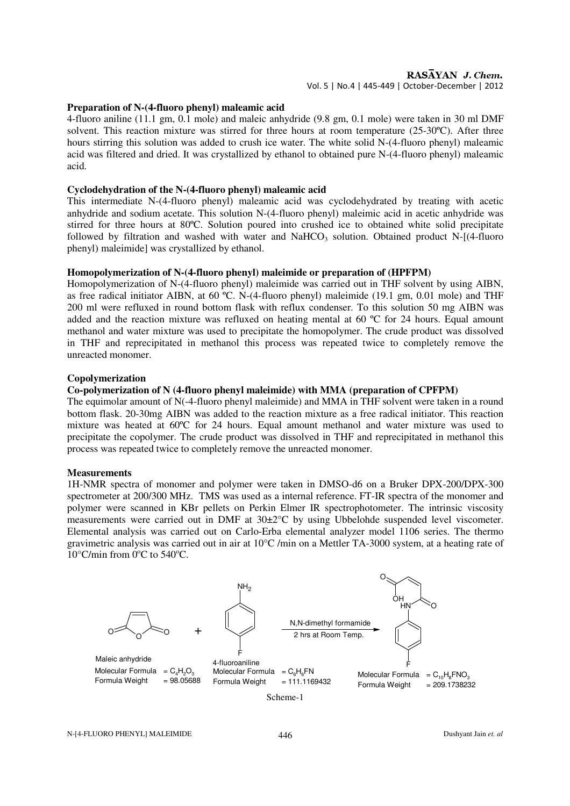## RASAYAN J. Chem.

Vol. 5 | No.4 | 445-449 | October-December | 2012

#### **Preparation of N-(4-fluoro phenyl) maleamic acid**

4-fluoro aniline (11.1 gm, 0.1 mole) and maleic anhydride (9.8 gm, 0.1 mole) were taken in 30 ml DMF solvent. This reaction mixture was stirred for three hours at room temperature (25-30ºC). After three hours stirring this solution was added to crush ice water. The white solid N-(4-fluoro phenyl) maleamic acid was filtered and dried. It was crystallized by ethanol to obtained pure N-(4-fluoro phenyl) maleamic acid.

#### **Cyclodehydration of the N-(4-fluoro phenyl) maleamic acid**

This intermediate N-(4-fluoro phenyl) maleamic acid was cyclodehydrated by treating with acetic anhydride and sodium acetate. This solution N-(4-fluoro phenyl) maleimic acid in acetic anhydride was stirred for three hours at 80ºC. Solution poured into crushed ice to obtained white solid precipitate followed by filtration and washed with water and NaHCO<sub>3</sub> solution. Obtained product N- $[(4$ -fluoro phenyl) maleimide] was crystallized by ethanol.

## **Homopolymerization of N-(4-fluoro phenyl) maleimide or preparation of (HPFPM)**

Homopolymerization of N-(4-fluoro phenyl) maleimide was carried out in THF solvent by using AIBN, as free radical initiator AIBN, at 60 ºC. N-(4-fluoro phenyl) maleimide (19.1 gm, 0.01 mole) and THF 200 ml were refluxed in round bottom flask with reflux condenser. To this solution 50 mg AIBN was added and the reaction mixture was refluxed on heating mental at 60 ºC for 24 hours. Equal amount methanol and water mixture was used to precipitate the homopolymer. The crude product was dissolved in THF and reprecipitated in methanol this process was repeated twice to completely remove the unreacted monomer.

## **Copolymerization**

#### **Co-polymerization of N (4-fluoro phenyl maleimide) with MMA (preparation of CPFPM)**

The equimolar amount of N(-4-fluoro phenyl maleimide) and MMA in THF solvent were taken in a round bottom flask. 20-30mg AIBN was added to the reaction mixture as a free radical initiator. This reaction mixture was heated at 60°C for 24 hours. Equal amount methanol and water mixture was used to precipitate the copolymer. The crude product was dissolved in THF and reprecipitated in methanol this process was repeated twice to completely remove the unreacted monomer.

#### **Measurements**

1H-NMR spectra of monomer and polymer were taken in DMSO-d6 on a Bruker DPX-200/DPX-300 spectrometer at 200/300 MHz. TMS was used as a internal reference. FT-IR spectra of the monomer and polymer were scanned in KBr pellets on Perkin Elmer IR spectrophotometer. The intrinsic viscosity measurements were carried out in DMF at 30±2°C by using Ubbelohde suspended level viscometer. Elemental analysis was carried out on Carlo-Erba elemental analyzer model 1106 series. The thermo gravimetric analysis was carried out in air at 10°C /min on a Mettler TA-3000 system, at a heating rate of  $10^{\circ}$ C/min from  $0^{\circ}$ C to 540 $^{\circ}$ C.

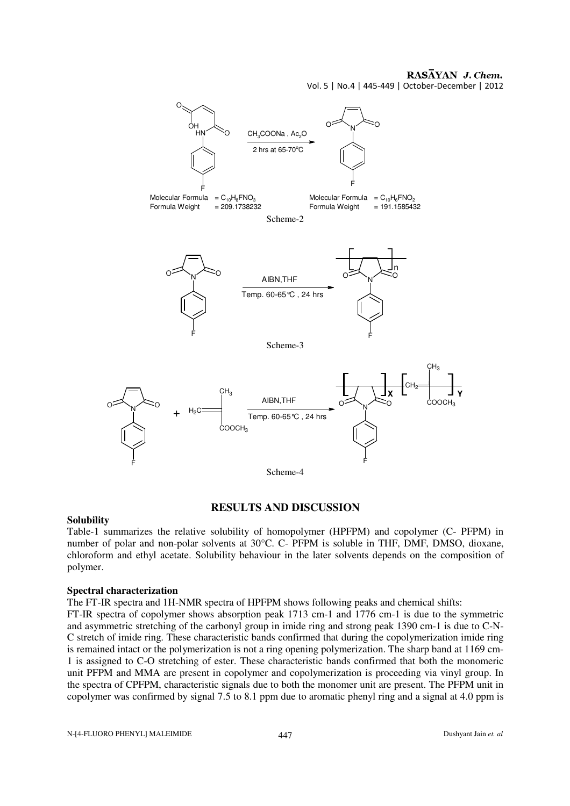## RASAYAN J. Chem.

Vol. 5 | No.4 | 445-449 | October-December | 2012



## **RESULTS AND DISCUSSION**

## **Solubility**

Table-1 summarizes the relative solubility of homopolymer (HPFPM) and copolymer (C- PFPM) in number of polar and non-polar solvents at 30°C. C- PFPM is soluble in THF, DMF, DMSO, dioxane, chloroform and ethyl acetate. Solubility behaviour in the later solvents depends on the composition of polymer.

## **Spectral characterization**

The FT-IR spectra and 1H-NMR spectra of HPFPM shows following peaks and chemical shifts:

FT-IR spectra of copolymer shows absorption peak 1713 cm-1 and 1776 cm-1 is due to the symmetric and asymmetric stretching of the carbonyl group in imide ring and strong peak 1390 cm-1 is due to C-N-C stretch of imide ring. These characteristic bands confirmed that during the copolymerization imide ring is remained intact or the polymerization is not a ring opening polymerization. The sharp band at 1169 cm-1 is assigned to C-O stretching of ester. These characteristic bands confirmed that both the monomeric unit PFPM and MMA are present in copolymer and copolymerization is proceeding via vinyl group. In the spectra of CPFPM, characteristic signals due to both the monomer unit are present. The PFPM unit in copolymer was confirmed by signal 7.5 to 8.1 ppm due to aromatic phenyl ring and a signal at 4.0 ppm is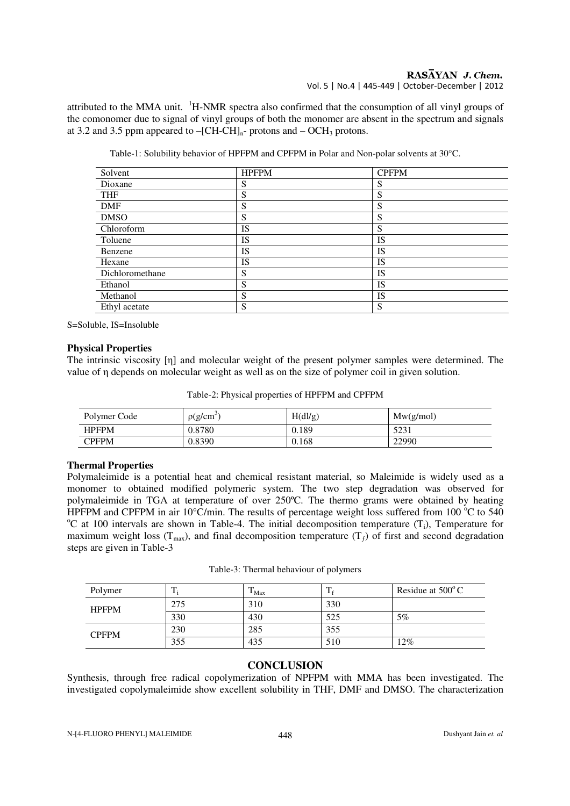attributed to the MMA unit. <sup>1</sup>H-NMR spectra also confirmed that the consumption of all vinyl groups of the comonomer due to signal of vinyl groups of both the monomer are absent in the spectrum and signals at 3.2 and 3.5 ppm appeared to  $-[CH-CH]_{n}$ - protons and  $- OCH_3$  protons.

|  | Table-1: Solubility behavior of HPFPM and CPFPM in Polar and Non-polar solvents at $30^{\circ}$ C. |
|--|----------------------------------------------------------------------------------------------------|
|  |                                                                                                    |

| Solvent         | <b>HPFPM</b> | <b>CPFPM</b> |
|-----------------|--------------|--------------|
| Dioxane         | S            | S            |
| <b>THF</b>      | S            | S            |
| <b>DMF</b>      | S            | S            |
| <b>DMSO</b>     | S            | S            |
| Chloroform      | <b>IS</b>    | S            |
| Toluene         | <b>IS</b>    | IS           |
| Benzene         | <b>IS</b>    | <b>IS</b>    |
| Hexane          | <b>IS</b>    | IS           |
| Dichloromethane | S            | IS           |
| Ethanol         | S            | IS           |
| Methanol        | S            | <b>IS</b>    |
| Ethyl acetate   | S            | S            |

S=Soluble, IS=Insoluble

## **Physical Properties**

The intrinsic viscosity [η] and molecular weight of the present polymer samples were determined. The value of η depends on molecular weight as well as on the size of polymer coil in given solution.

|  | Table-2: Physical properties of HPFPM and CPFPM |
|--|-------------------------------------------------|
|--|-------------------------------------------------|

| Polymer Code | $\rho(g/cm)$ | H(dl/g) | Mw(g/mol) |
|--------------|--------------|---------|-----------|
| <b>HPFPM</b> | 0.8780       | 0.189   | 5231      |
| CPFPM        | 0.8390       | 0.168   | 22990     |

## **Thermal Properties**

Polymaleimide is a potential heat and chemical resistant material, so Maleimide is widely used as a monomer to obtained modified polymeric system. The two step degradation was observed for polymaleimide in TGA at temperature of over 250ºC. The thermo grams were obtained by heating HPFPM and CPFPM in air 10 $^{\circ}$ C/min. The results of percentage weight loss suffered from 100 $^{\circ}$ C to 540 <sup>o</sup>C at 100 intervals are shown in Table-4. The initial decomposition temperature  $(T_i)$ , Temperature for maximum weight loss ( $T_{max}$ ), and final decomposition temperature ( $T_f$ ) of first and second degradation steps are given in Table-3

| Polymer      |     | $\mathbf{I}$ Max |     | Residue at $500^{\circ}$ C |
|--------------|-----|------------------|-----|----------------------------|
| <b>HPFPM</b> | 275 | 310              | 330 |                            |
|              | 330 | 430              | 525 | $5\%$                      |
| <b>CPFPM</b> | 230 | 285              | 355 |                            |
|              | 355 | 435              | 510 | $12\%$                     |

## **CONCLUSION**

Synthesis, through free radical copolymerization of NPFPM with MMA has been investigated. The investigated copolymaleimide show excellent solubility in THF, DMF and DMSO. The characterization